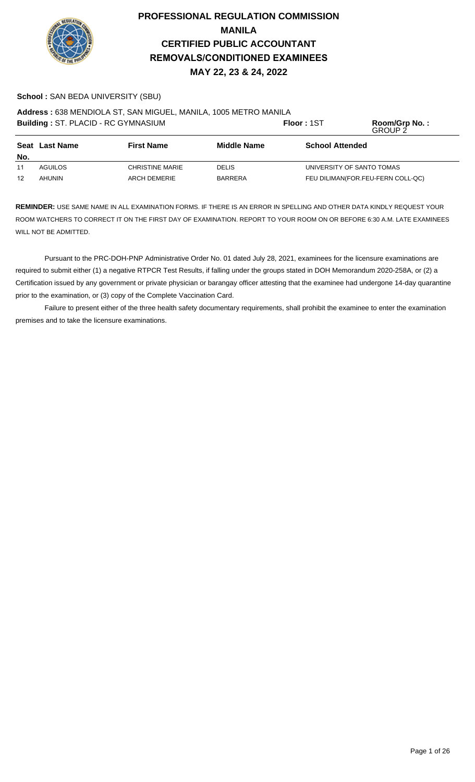

### **School :** SAN BEDA UNIVERSITY (SBU)

**Address :** 638 MENDIOLA ST, SAN MIGUEL, MANILA, 1005 METRO MANILA

|     | Building: ST. PLACID - RC GYMNASIUM                              |                        |                | Floor: 1ST                        | Room/Grp No.:<br><b>GROUP 2</b> |
|-----|------------------------------------------------------------------|------------------------|----------------|-----------------------------------|---------------------------------|
| No. | <b>Middle Name</b><br><b>Seat Last Name</b><br><b>First Name</b> |                        |                | <b>School Attended</b>            |                                 |
| 11  | AGUILOS                                                          | <b>CHRISTINE MARIE</b> | <b>DELIS</b>   | UNIVERSITY OF SANTO TOMAS         |                                 |
| 12  | AHUNIN                                                           | <b>ARCH DEMERIE</b>    | <b>BARRERA</b> | FEU DILIMAN(FOR.FEU-FERN COLL-QC) |                                 |

**REMINDER:** USE SAME NAME IN ALL EXAMINATION FORMS. IF THERE IS AN ERROR IN SPELLING AND OTHER DATA KINDLY REQUEST YOUR ROOM WATCHERS TO CORRECT IT ON THE FIRST DAY OF EXAMINATION. REPORT TO YOUR ROOM ON OR BEFORE 6:30 A.M. LATE EXAMINEES WILL NOT BE ADMITTED.

Pursuant to the PRC-DOH-PNP Administrative Order No. 01 dated July 28, 2021, examinees for the licensure examinations are required to submit either (1) a negative RTPCR Test Results, if falling under the groups stated in DOH Memorandum 2020-258A, or (2) a Certification issued by any government or private physician or barangay officer attesting that the examinee had undergone 14-day quarantine prior to the examination, or (3) copy of the Complete Vaccination Card.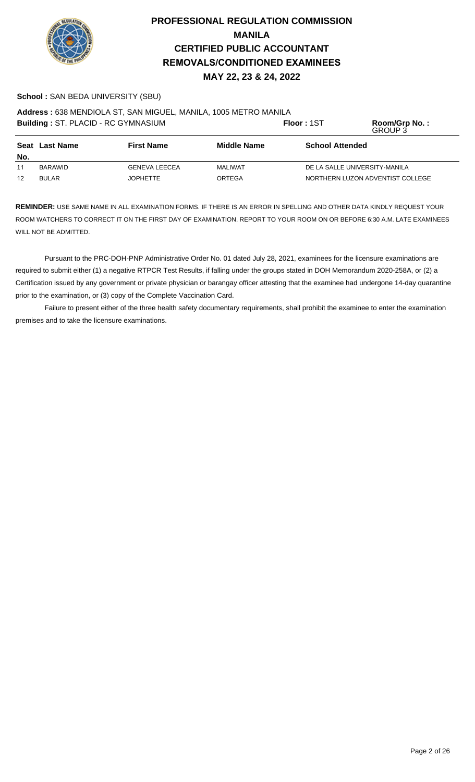

### **School :** SAN BEDA UNIVERSITY (SBU)

**Address :** 638 MENDIOLA ST, SAN MIGUEL, MANILA, 1005 METRO MANILA

|                   | Building: ST. PLACID - RC GYMNASIUM |                                                                   |         | <b>Floor: 1ST</b>                | Room/Grp No.:<br>GROUP 3 |
|-------------------|-------------------------------------|-------------------------------------------------------------------|---------|----------------------------------|--------------------------|
|                   | <b>Seat Last Name</b>               | <b>First Name</b><br><b>Middle Name</b><br><b>School Attended</b> |         |                                  |                          |
| No.               |                                     |                                                                   |         |                                  |                          |
| 11                | BARAWID                             | <b>GENEVA LEECEA</b>                                              | MALIWAT | DE LA SALLE UNIVERSITY-MANILA    |                          |
| $12 \overline{ }$ | <b>BULAR</b>                        | JOPHETTE                                                          | ORTEGA  | NORTHERN LUZON ADVENTIST COLLEGE |                          |

**REMINDER:** USE SAME NAME IN ALL EXAMINATION FORMS. IF THERE IS AN ERROR IN SPELLING AND OTHER DATA KINDLY REQUEST YOUR ROOM WATCHERS TO CORRECT IT ON THE FIRST DAY OF EXAMINATION. REPORT TO YOUR ROOM ON OR BEFORE 6:30 A.M. LATE EXAMINEES WILL NOT BE ADMITTED.

Pursuant to the PRC-DOH-PNP Administrative Order No. 01 dated July 28, 2021, examinees for the licensure examinations are required to submit either (1) a negative RTPCR Test Results, if falling under the groups stated in DOH Memorandum 2020-258A, or (2) a Certification issued by any government or private physician or barangay officer attesting that the examinee had undergone 14-day quarantine prior to the examination, or (3) copy of the Complete Vaccination Card.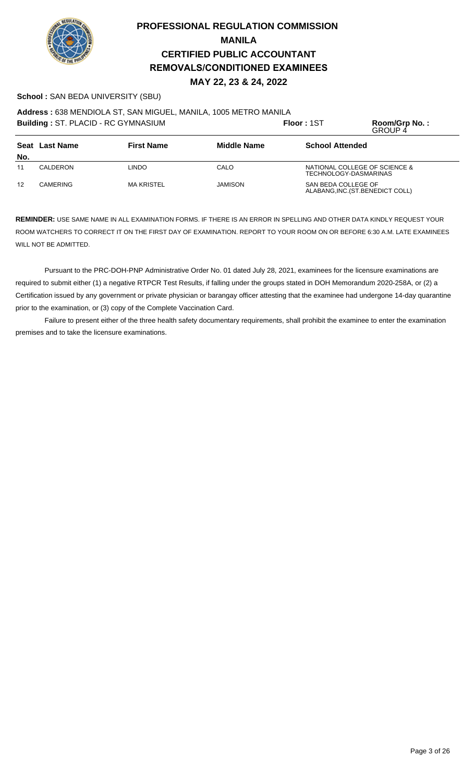

### **School :** SAN BEDA UNIVERSITY (SBU)

**Address :** 638 MENDIOLA ST, SAN MIGUEL, MANILA, 1005 METRO MANILA

| Building: ST. PLACID - RC GYMNASIUM |                 |                    |                        | Floor: 1ST          | Room/Grp No.:<br><b>GROUP 4</b>                        |
|-------------------------------------|-----------------|--------------------|------------------------|---------------------|--------------------------------------------------------|
| <b>First Name</b><br>Seat Last Name |                 | <b>Middle Name</b> | <b>School Attended</b> |                     |                                                        |
| No.                                 |                 |                    |                        |                     |                                                        |
| 11                                  | CALDERON        | LINDO              | CALO                   |                     | NATIONAL COLLEGE OF SCIENCE &<br>TECHNOLOGY-DASMARINAS |
| 12                                  | <b>CAMERING</b> | <b>MA KRISTEL</b>  | JAMISON                | SAN BEDA COLLEGE OF | ALABANG, INC. (ST. BENEDICT COLL)                      |

**REMINDER:** USE SAME NAME IN ALL EXAMINATION FORMS. IF THERE IS AN ERROR IN SPELLING AND OTHER DATA KINDLY REQUEST YOUR ROOM WATCHERS TO CORRECT IT ON THE FIRST DAY OF EXAMINATION. REPORT TO YOUR ROOM ON OR BEFORE 6:30 A.M. LATE EXAMINEES WILL NOT BE ADMITTED.

Pursuant to the PRC-DOH-PNP Administrative Order No. 01 dated July 28, 2021, examinees for the licensure examinations are required to submit either (1) a negative RTPCR Test Results, if falling under the groups stated in DOH Memorandum 2020-258A, or (2) a Certification issued by any government or private physician or barangay officer attesting that the examinee had undergone 14-day quarantine prior to the examination, or (3) copy of the Complete Vaccination Card.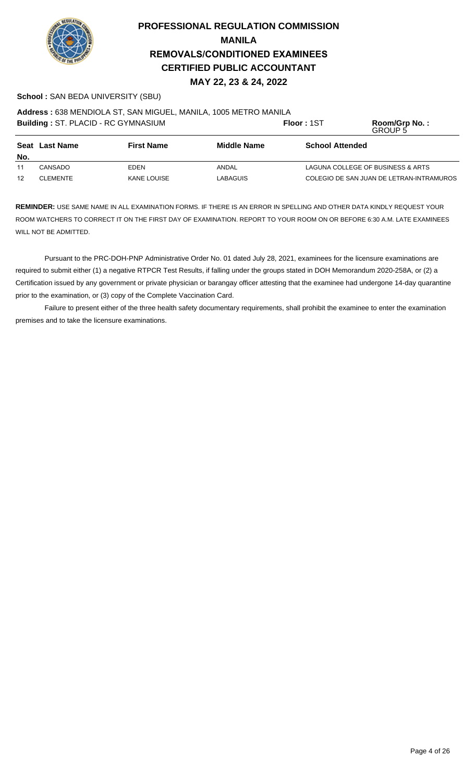

# **PROFESSIONAL REGULATION COMMISSION MANILA REMOVALS/CONDITIONED EXAMINEES CERTIFIED PUBLIC ACCOUNTANT MAY 22, 23 & 24, 2022**

### **School :** SAN BEDA UNIVERSITY (SBU)

**Address :** 638 MENDIOLA ST, SAN MIGUEL, MANILA, 1005 METRO MANILA

| Building: ST. PLACID - RC GYMNASIUM |                                                           |             |                 | Floor: 1ST             | Room/Grp No.:<br>GROUP 5                 |
|-------------------------------------|-----------------------------------------------------------|-------------|-----------------|------------------------|------------------------------------------|
| No.                                 | <b>First Name</b><br><b>Middle Name</b><br>Seat Last Name |             |                 | <b>School Attended</b> |                                          |
| 11                                  | CANSADO                                                   | EDEN        | ANDAL           |                        | LAGUNA COLLEGE OF BUSINESS & ARTS        |
| 12                                  | <b>CLEMENTE</b>                                           | KANE LOUISE | <b>LABAGUIS</b> |                        | COLEGIO DE SAN JUAN DE LETRAN-INTRAMUROS |

**REMINDER:** USE SAME NAME IN ALL EXAMINATION FORMS. IF THERE IS AN ERROR IN SPELLING AND OTHER DATA KINDLY REQUEST YOUR ROOM WATCHERS TO CORRECT IT ON THE FIRST DAY OF EXAMINATION. REPORT TO YOUR ROOM ON OR BEFORE 6:30 A.M. LATE EXAMINEES WILL NOT BE ADMITTED.

Pursuant to the PRC-DOH-PNP Administrative Order No. 01 dated July 28, 2021, examinees for the licensure examinations are required to submit either (1) a negative RTPCR Test Results, if falling under the groups stated in DOH Memorandum 2020-258A, or (2) a Certification issued by any government or private physician or barangay officer attesting that the examinee had undergone 14-day quarantine prior to the examination, or (3) copy of the Complete Vaccination Card.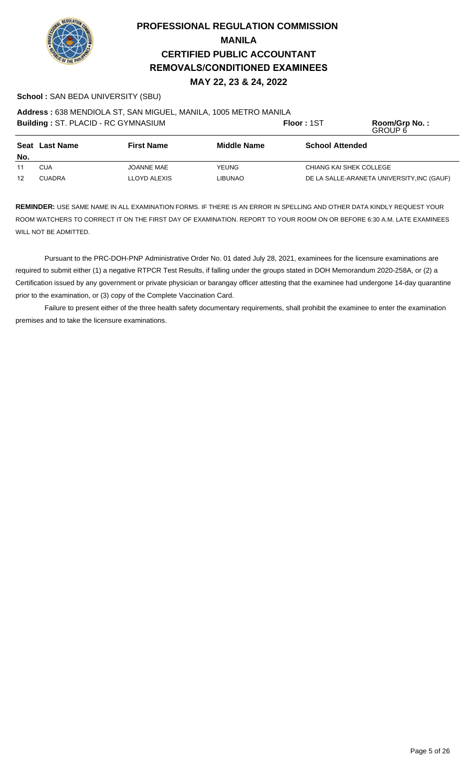

### **School :** SAN BEDA UNIVERSITY (SBU)

**Address :** 638 MENDIOLA ST, SAN MIGUEL, MANILA, 1005 METRO MANILA

| Building: ST. PLACID - RC GYMNASIUM |                                                                  |                   | Floor: 1ST     | Room/Grp No.:<br>GROUP 6                   |                         |  |
|-------------------------------------|------------------------------------------------------------------|-------------------|----------------|--------------------------------------------|-------------------------|--|
| No.                                 | <b>Seat Last Name</b><br><b>First Name</b><br><b>Middle Name</b> |                   |                | <b>School Attended</b>                     |                         |  |
| 11                                  | CUA                                                              | <b>JOANNE MAE</b> | YEUNG.         |                                            | CHIANG KAI SHEK COLLEGE |  |
| 12                                  | <b>CUADRA</b>                                                    | LLOYD ALEXIS      | <b>LIBUNAO</b> | DE LA SALLE-ARANETA UNIVERSITY, INC (GAUF) |                         |  |

**REMINDER:** USE SAME NAME IN ALL EXAMINATION FORMS. IF THERE IS AN ERROR IN SPELLING AND OTHER DATA KINDLY REQUEST YOUR ROOM WATCHERS TO CORRECT IT ON THE FIRST DAY OF EXAMINATION. REPORT TO YOUR ROOM ON OR BEFORE 6:30 A.M. LATE EXAMINEES WILL NOT BE ADMITTED.

Pursuant to the PRC-DOH-PNP Administrative Order No. 01 dated July 28, 2021, examinees for the licensure examinations are required to submit either (1) a negative RTPCR Test Results, if falling under the groups stated in DOH Memorandum 2020-258A, or (2) a Certification issued by any government or private physician or barangay officer attesting that the examinee had undergone 14-day quarantine prior to the examination, or (3) copy of the Complete Vaccination Card.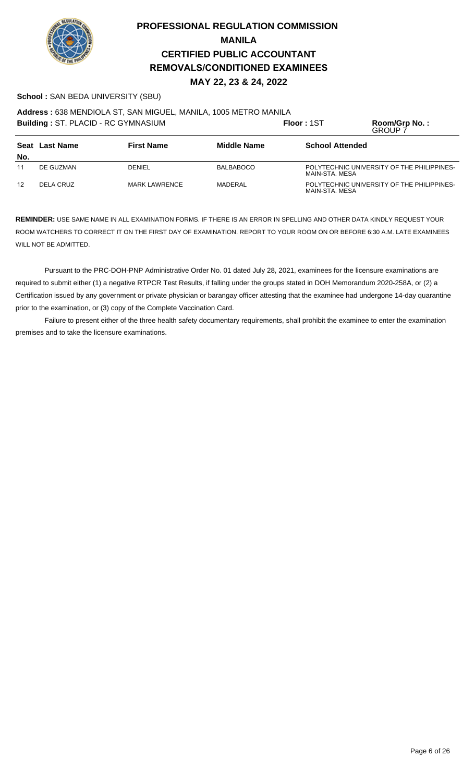

### **School :** SAN BEDA UNIVERSITY (SBU)

**Address :** 638 MENDIOLA ST, SAN MIGUEL, MANILA, 1005 METRO MANILA

| <b>Building: ST. PLACID - RC GYMNASIUM</b> |           |                      |                        | Floor: 1ST     | Room/Grp No.:<br>GROUP 7                   |
|--------------------------------------------|-----------|----------------------|------------------------|----------------|--------------------------------------------|
| <b>First Name</b><br>Seat Last Name        |           | <b>Middle Name</b>   | <b>School Attended</b> |                |                                            |
| No.                                        |           |                      |                        |                |                                            |
| 11                                         | DE GUZMAN | <b>DENIEL</b>        | <b>BALBABOCO</b>       | MAIN-STA, MESA | POLYTECHNIC UNIVERSITY OF THE PHILIPPINES- |
| 12                                         | DELA CRUZ | <b>MARK LAWRENCE</b> | MADERAL                | MAIN-STA, MESA | POLYTECHNIC UNIVERSITY OF THE PHILIPPINES- |

**REMINDER:** USE SAME NAME IN ALL EXAMINATION FORMS. IF THERE IS AN ERROR IN SPELLING AND OTHER DATA KINDLY REQUEST YOUR ROOM WATCHERS TO CORRECT IT ON THE FIRST DAY OF EXAMINATION. REPORT TO YOUR ROOM ON OR BEFORE 6:30 A.M. LATE EXAMINEES WILL NOT BE ADMITTED.

Pursuant to the PRC-DOH-PNP Administrative Order No. 01 dated July 28, 2021, examinees for the licensure examinations are required to submit either (1) a negative RTPCR Test Results, if falling under the groups stated in DOH Memorandum 2020-258A, or (2) a Certification issued by any government or private physician or barangay officer attesting that the examinee had undergone 14-day quarantine prior to the examination, or (3) copy of the Complete Vaccination Card.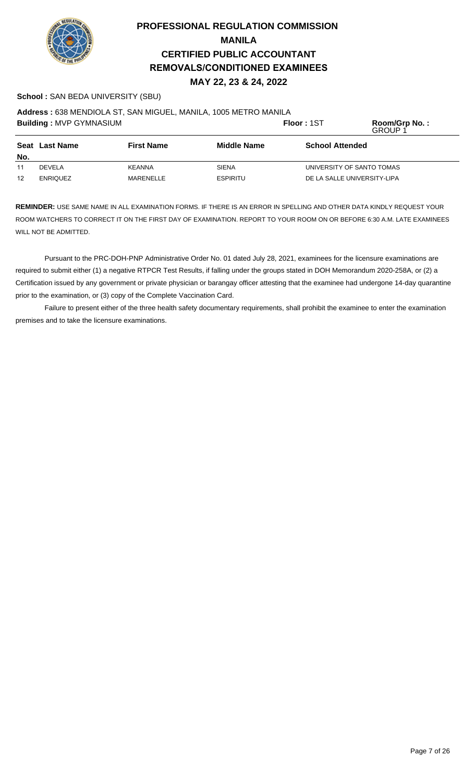

### **School :** SAN BEDA UNIVERSITY (SBU)

**Address :** 638 MENDIOLA ST, SAN MIGUEL, MANILA, 1005 METRO MANILA

| <b>Building: MVP GYMNASIUM</b>             |                 |                    |                        | Floor: 1ST                  | Room/Grp No.:<br><b>GROUP1</b> |
|--------------------------------------------|-----------------|--------------------|------------------------|-----------------------------|--------------------------------|
| <b>Seat Last Name</b><br><b>First Name</b> |                 | <b>Middle Name</b> | <b>School Attended</b> |                             |                                |
| No.                                        |                 |                    |                        |                             |                                |
| 11                                         | <b>DEVELA</b>   | KEANNA             | <b>SIENA</b>           | UNIVERSITY OF SANTO TOMAS   |                                |
| 12                                         | <b>ENRIQUEZ</b> | MARENELLE          | <b>ESPIRITU</b>        | DE LA SALLE UNIVERSITY-LIPA |                                |

**REMINDER:** USE SAME NAME IN ALL EXAMINATION FORMS. IF THERE IS AN ERROR IN SPELLING AND OTHER DATA KINDLY REQUEST YOUR ROOM WATCHERS TO CORRECT IT ON THE FIRST DAY OF EXAMINATION. REPORT TO YOUR ROOM ON OR BEFORE 6:30 A.M. LATE EXAMINEES WILL NOT BE ADMITTED.

Pursuant to the PRC-DOH-PNP Administrative Order No. 01 dated July 28, 2021, examinees for the licensure examinations are required to submit either (1) a negative RTPCR Test Results, if falling under the groups stated in DOH Memorandum 2020-258A, or (2) a Certification issued by any government or private physician or barangay officer attesting that the examinee had undergone 14-day quarantine prior to the examination, or (3) copy of the Complete Vaccination Card.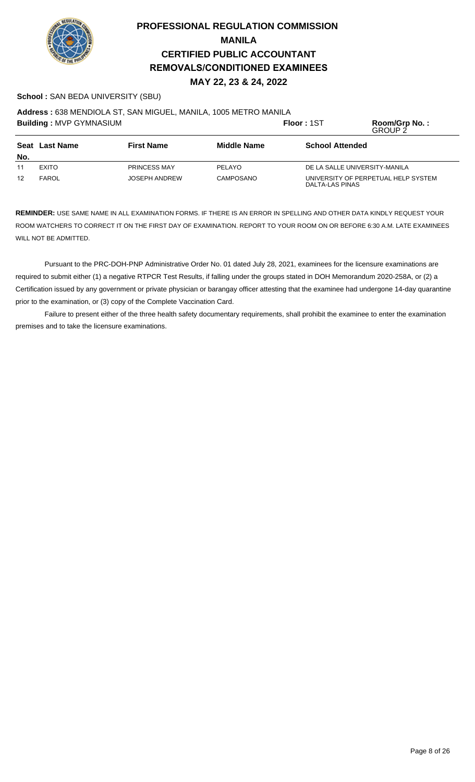

### **School :** SAN BEDA UNIVERSITY (SBU)

**Address :** 638 MENDIOLA ST, SAN MIGUEL, MANILA, 1005 METRO MANILA

|                                                           | <b>Building: MVP GYMNASIUM</b> |                        |           | Floor: 1ST                                             | Room/Grp No.:<br>GROUP 2 |
|-----------------------------------------------------------|--------------------------------|------------------------|-----------|--------------------------------------------------------|--------------------------|
| Seat Last Name<br><b>Middle Name</b><br><b>First Name</b> |                                | <b>School Attended</b> |           |                                                        |                          |
| No.                                                       |                                |                        |           |                                                        |                          |
| 11                                                        | <b>EXITO</b>                   | <b>PRINCESS MAY</b>    | PELAYO    | DE LA SALLE UNIVERSITY-MANILA                          |                          |
| 12                                                        | FAROL                          | <b>JOSEPH ANDREW</b>   | CAMPOSANO | UNIVERSITY OF PERPETUAL HELP SYSTEM<br>DALTA-LAS PINAS |                          |

**REMINDER:** USE SAME NAME IN ALL EXAMINATION FORMS. IF THERE IS AN ERROR IN SPELLING AND OTHER DATA KINDLY REQUEST YOUR ROOM WATCHERS TO CORRECT IT ON THE FIRST DAY OF EXAMINATION. REPORT TO YOUR ROOM ON OR BEFORE 6:30 A.M. LATE EXAMINEES WILL NOT BE ADMITTED.

Pursuant to the PRC-DOH-PNP Administrative Order No. 01 dated July 28, 2021, examinees for the licensure examinations are required to submit either (1) a negative RTPCR Test Results, if falling under the groups stated in DOH Memorandum 2020-258A, or (2) a Certification issued by any government or private physician or barangay officer attesting that the examinee had undergone 14-day quarantine prior to the examination, or (3) copy of the Complete Vaccination Card.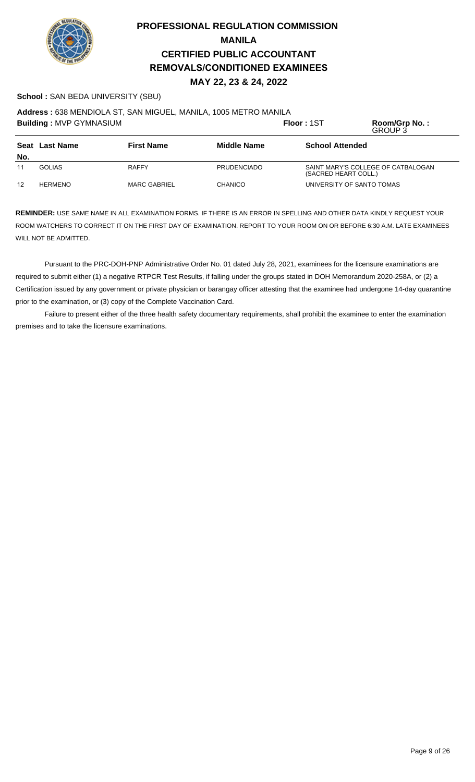

### **School :** SAN BEDA UNIVERSITY (SBU)

**Address :** 638 MENDIOLA ST, SAN MIGUEL, MANILA, 1005 METRO MANILA

|     | <b>Building: MVP GYMNASIUM</b>      |                     |                    | Floor: 1ST             | Room/Grp No.:<br>GROUP 3           |
|-----|-------------------------------------|---------------------|--------------------|------------------------|------------------------------------|
|     | Seat Last Name<br><b>First Name</b> |                     | <b>Middle Name</b> | <b>School Attended</b> |                                    |
| No. |                                     |                     |                    |                        |                                    |
| 11  | <b>GOLIAS</b>                       | <b>RAFFY</b>        | <b>PRUDENCIADO</b> | (SACRED HEART COLL.)   | SAINT MARY'S COLLEGE OF CATBALOGAN |
| 12  | <b>HERMENO</b>                      | <b>MARC GABRIEL</b> | <b>CHANICO</b>     |                        | UNIVERSITY OF SANTO TOMAS          |

**REMINDER:** USE SAME NAME IN ALL EXAMINATION FORMS. IF THERE IS AN ERROR IN SPELLING AND OTHER DATA KINDLY REQUEST YOUR ROOM WATCHERS TO CORRECT IT ON THE FIRST DAY OF EXAMINATION. REPORT TO YOUR ROOM ON OR BEFORE 6:30 A.M. LATE EXAMINEES WILL NOT BE ADMITTED.

Pursuant to the PRC-DOH-PNP Administrative Order No. 01 dated July 28, 2021, examinees for the licensure examinations are required to submit either (1) a negative RTPCR Test Results, if falling under the groups stated in DOH Memorandum 2020-258A, or (2) a Certification issued by any government or private physician or barangay officer attesting that the examinee had undergone 14-day quarantine prior to the examination, or (3) copy of the Complete Vaccination Card.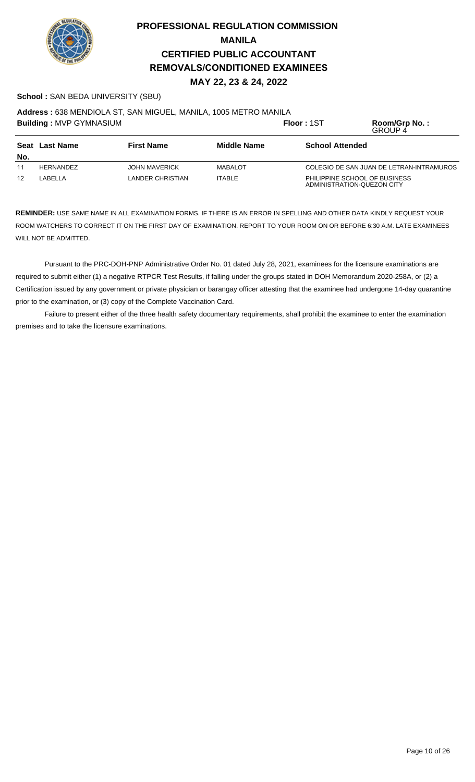

### **School :** SAN BEDA UNIVERSITY (SBU)

**Address :** 638 MENDIOLA ST, SAN MIGUEL, MANILA, 1005 METRO MANILA

|                                                           | <b>Building: MVP GYMNASIUM</b> |                      |                        | <b>Floor: 1ST</b>                                           | Room/Grp No.:<br>GROUP 4                 |
|-----------------------------------------------------------|--------------------------------|----------------------|------------------------|-------------------------------------------------------------|------------------------------------------|
| <b>First Name</b><br><b>Middle Name</b><br>Seat Last Name |                                |                      | <b>School Attended</b> |                                                             |                                          |
| No.                                                       |                                |                      |                        |                                                             |                                          |
| 11                                                        | HERNANDEZ                      | <b>JOHN MAVERICK</b> | <b>MABALOT</b>         |                                                             | COLEGIO DE SAN JUAN DE LETRAN-INTRAMUROS |
| 12                                                        | LABELLA                        | LANDER CHRISTIAN     | <b>ITABLE</b>          | PHILIPPINE SCHOOL OF BUSINESS<br>ADMINISTRATION-QUEZON CITY |                                          |

**REMINDER:** USE SAME NAME IN ALL EXAMINATION FORMS. IF THERE IS AN ERROR IN SPELLING AND OTHER DATA KINDLY REQUEST YOUR ROOM WATCHERS TO CORRECT IT ON THE FIRST DAY OF EXAMINATION. REPORT TO YOUR ROOM ON OR BEFORE 6:30 A.M. LATE EXAMINEES WILL NOT BE ADMITTED.

Pursuant to the PRC-DOH-PNP Administrative Order No. 01 dated July 28, 2021, examinees for the licensure examinations are required to submit either (1) a negative RTPCR Test Results, if falling under the groups stated in DOH Memorandum 2020-258A, or (2) a Certification issued by any government or private physician or barangay officer attesting that the examinee had undergone 14-day quarantine prior to the examination, or (3) copy of the Complete Vaccination Card.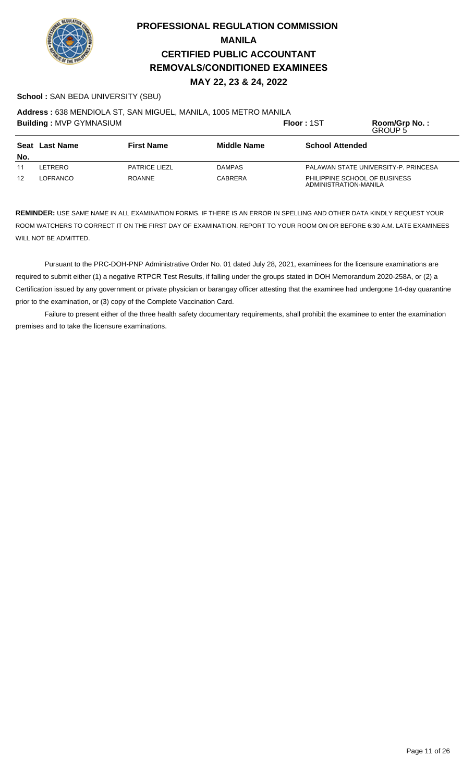

### **School :** SAN BEDA UNIVERSITY (SBU)

**Address :** 638 MENDIOLA ST, SAN MIGUEL, MANILA, 1005 METRO MANILA

| <b>Building: MVP GYMNASIUM</b>                            |          |                      |                        | <b>Floor: 1ST</b>     | Room/Grp No.:<br>GROUP 5             |
|-----------------------------------------------------------|----------|----------------------|------------------------|-----------------------|--------------------------------------|
| Seat Last Name<br><b>First Name</b><br><b>Middle Name</b> |          |                      | <b>School Attended</b> |                       |                                      |
| No.                                                       |          |                      |                        |                       |                                      |
| 11                                                        | LETRERO  | <b>PATRICE LIEZL</b> | <b>DAMPAS</b>          |                       | PALAWAN STATE UNIVERSITY-P. PRINCESA |
| $12 \overline{ }$                                         | LOFRANCO | <b>ROANNE</b>        | <b>CABRERA</b>         | ADMINISTRATION-MANILA | PHILIPPINE SCHOOL OF BUSINESS        |

**REMINDER:** USE SAME NAME IN ALL EXAMINATION FORMS. IF THERE IS AN ERROR IN SPELLING AND OTHER DATA KINDLY REQUEST YOUR ROOM WATCHERS TO CORRECT IT ON THE FIRST DAY OF EXAMINATION. REPORT TO YOUR ROOM ON OR BEFORE 6:30 A.M. LATE EXAMINEES WILL NOT BE ADMITTED.

Pursuant to the PRC-DOH-PNP Administrative Order No. 01 dated July 28, 2021, examinees for the licensure examinations are required to submit either (1) a negative RTPCR Test Results, if falling under the groups stated in DOH Memorandum 2020-258A, or (2) a Certification issued by any government or private physician or barangay officer attesting that the examinee had undergone 14-day quarantine prior to the examination, or (3) copy of the Complete Vaccination Card.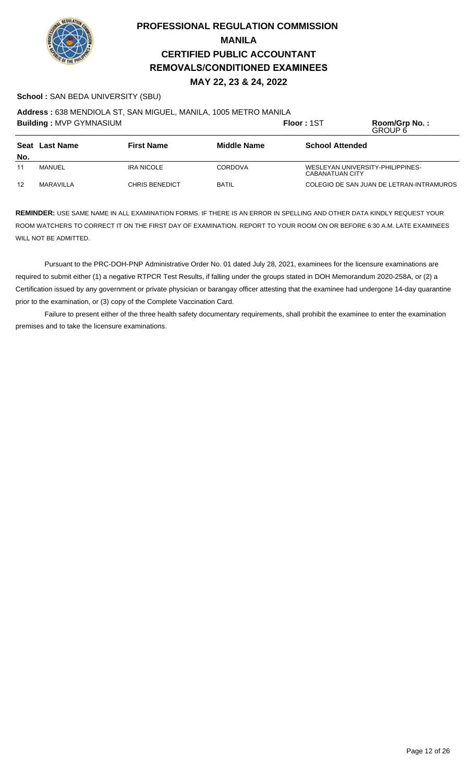

### **School :** SAN BEDA UNIVERSITY (SBU)

**Address :** 638 MENDIOLA ST, SAN MIGUEL, MANILA, 1005 METRO MANILA

|                                                    | <b>Building: MVP GYMNASIUM</b> |                        |                | Floor: 1ST                                          | Room/Grp No.:<br>GROUP 6                 |
|----------------------------------------------------|--------------------------------|------------------------|----------------|-----------------------------------------------------|------------------------------------------|
| <b>First Name</b><br>Seat Last Name<br>Middle Name |                                | <b>School Attended</b> |                |                                                     |                                          |
| No.                                                |                                |                        |                |                                                     |                                          |
| 11                                                 | MANUEL                         | IRA NICOLE             | <b>CORDOVA</b> | WESLEYAN UNIVERSITY-PHILIPPINES-<br>CABANATUAN CITY |                                          |
| 12                                                 | MARAVILLA                      | <b>CHRIS BENEDICT</b>  | <b>BATIL</b>   |                                                     | COLEGIO DE SAN JUAN DE LETRAN-INTRAMUROS |

**REMINDER:** USE SAME NAME IN ALL EXAMINATION FORMS. IF THERE IS AN ERROR IN SPELLING AND OTHER DATA KINDLY REQUEST YOUR ROOM WATCHERS TO CORRECT IT ON THE FIRST DAY OF EXAMINATION. REPORT TO YOUR ROOM ON OR BEFORE 6:30 A.M. LATE EXAMINEES WILL NOT BE ADMITTED.

Pursuant to the PRC-DOH-PNP Administrative Order No. 01 dated July 28, 2021, examinees for the licensure examinations are required to submit either (1) a negative RTPCR Test Results, if falling under the groups stated in DOH Memorandum 2020-258A, or (2) a Certification issued by any government or private physician or barangay officer attesting that the examinee had undergone 14-day quarantine prior to the examination, or (3) copy of the Complete Vaccination Card.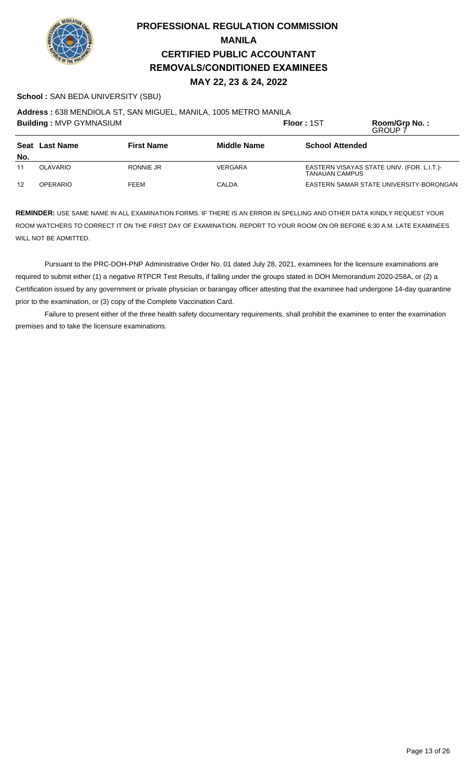

### **School :** SAN BEDA UNIVERSITY (SBU)

**Address :** 638 MENDIOLA ST, SAN MIGUEL, MANILA, 1005 METRO MANILA

| <b>Building: MVP GYMNASIUM</b> |                 |                   |                    | Floor: 1ST             | Room/Grp No.:<br><b>GROUP 7</b>            |
|--------------------------------|-----------------|-------------------|--------------------|------------------------|--------------------------------------------|
|                                | Seat Last Name  | <b>First Name</b> | <b>Middle Name</b> | <b>School Attended</b> |                                            |
| No.                            |                 |                   |                    |                        |                                            |
| 11                             | OLAVARIO        | RONNIE JR         | VERGARA            | TANAUAN CAMPUS         | EASTERN VISAYAS STATE UNIV. (FOR. L.I.T.)- |
| 12                             | <b>OPERARIO</b> | <b>FEEM</b>       | CALDA              |                        | EASTERN SAMAR STATE UNIVERSITY-BORONGAN    |

**REMINDER:** USE SAME NAME IN ALL EXAMINATION FORMS. IF THERE IS AN ERROR IN SPELLING AND OTHER DATA KINDLY REQUEST YOUR ROOM WATCHERS TO CORRECT IT ON THE FIRST DAY OF EXAMINATION. REPORT TO YOUR ROOM ON OR BEFORE 6:30 A.M. LATE EXAMINEES WILL NOT BE ADMITTED.

Pursuant to the PRC-DOH-PNP Administrative Order No. 01 dated July 28, 2021, examinees for the licensure examinations are required to submit either (1) a negative RTPCR Test Results, if falling under the groups stated in DOH Memorandum 2020-258A, or (2) a Certification issued by any government or private physician or barangay officer attesting that the examinee had undergone 14-day quarantine prior to the examination, or (3) copy of the Complete Vaccination Card.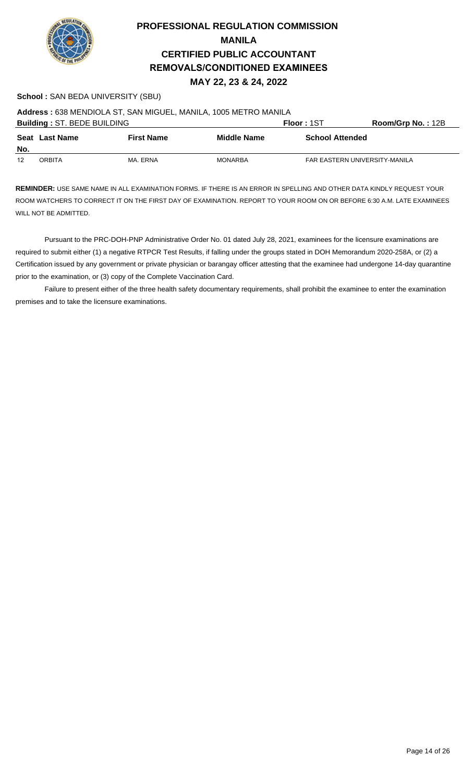

#### **School :** SAN BEDA UNIVERSITY (SBU)

**Address :** 638 MENDIOLA ST, SAN MIGUEL, MANILA, 1005 METRO MANILA

| <b>Building: ST. BEDE BUILDING</b> |                       |                   |                    | Floor: 1ST                    | Room/Grp No.: 12B |
|------------------------------------|-----------------------|-------------------|--------------------|-------------------------------|-------------------|
|                                    | <b>Seat Last Name</b> | <b>First Name</b> | <b>Middle Name</b> | <b>School Attended</b>        |                   |
| No.                                |                       |                   |                    |                               |                   |
| 12                                 | ORBITA                | MA. ERNA          | MONARBA            | FAR EASTERN UNIVERSITY-MANILA |                   |

**REMINDER:** USE SAME NAME IN ALL EXAMINATION FORMS. IF THERE IS AN ERROR IN SPELLING AND OTHER DATA KINDLY REQUEST YOUR ROOM WATCHERS TO CORRECT IT ON THE FIRST DAY OF EXAMINATION. REPORT TO YOUR ROOM ON OR BEFORE 6:30 A.M. LATE EXAMINEES WILL NOT BE ADMITTED.

Pursuant to the PRC-DOH-PNP Administrative Order No. 01 dated July 28, 2021, examinees for the licensure examinations are required to submit either (1) a negative RTPCR Test Results, if falling under the groups stated in DOH Memorandum 2020-258A, or (2) a Certification issued by any government or private physician or barangay officer attesting that the examinee had undergone 14-day quarantine prior to the examination, or (3) copy of the Complete Vaccination Card.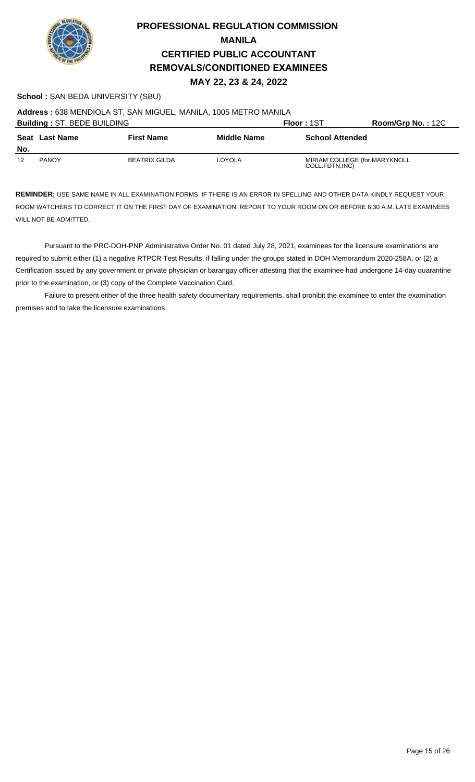

### **School :** SAN BEDA UNIVERSITY (SBU)

**Address :** 638 MENDIOLA ST, SAN MIGUEL, MANILA, 1005 METRO MANILA

| <b>Building: ST. BEDE BUILDING</b> |                |                      |                    | Floor: 1ST                                       | Room/Grp No.: 12C |
|------------------------------------|----------------|----------------------|--------------------|--------------------------------------------------|-------------------|
| No.                                | Seat Last Name | <b>First Name</b>    | <b>Middle Name</b> | <b>School Attended</b>                           |                   |
| 12                                 | <b>PANOY</b>   | <b>BEATRIX GILDA</b> | LOYOLA             | MIRIAM COLLEGE (for.MARYKNOLL<br>COLL.FDTN, INC) |                   |

**REMINDER:** USE SAME NAME IN ALL EXAMINATION FORMS. IF THERE IS AN ERROR IN SPELLING AND OTHER DATA KINDLY REQUEST YOUR ROOM WATCHERS TO CORRECT IT ON THE FIRST DAY OF EXAMINATION. REPORT TO YOUR ROOM ON OR BEFORE 6:30 A.M. LATE EXAMINEES WILL NOT BE ADMITTED.

Pursuant to the PRC-DOH-PNP Administrative Order No. 01 dated July 28, 2021, examinees for the licensure examinations are required to submit either (1) a negative RTPCR Test Results, if falling under the groups stated in DOH Memorandum 2020-258A, or (2) a Certification issued by any government or private physician or barangay officer attesting that the examinee had undergone 14-day quarantine prior to the examination, or (3) copy of the Complete Vaccination Card.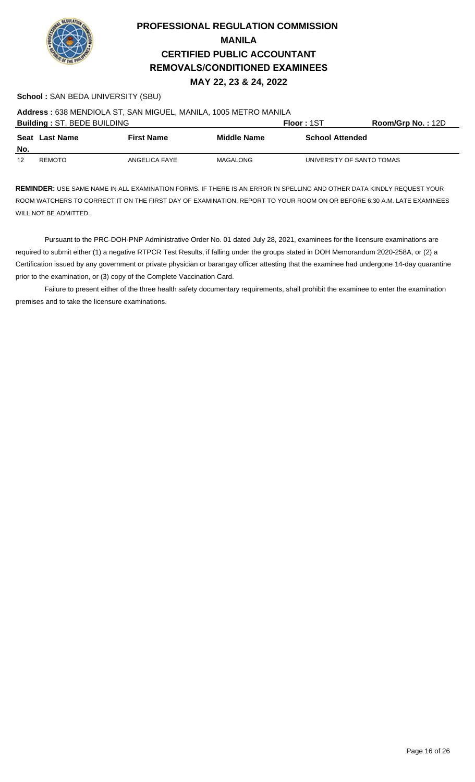

#### **School :** SAN BEDA UNIVERSITY (SBU)

**Address :** 638 MENDIOLA ST, SAN MIGUEL, MANILA, 1005 METRO MANILA

| <b>Building: ST. BEDE BUILDING</b> |                |                   |                    | Floor: 1ST                | <b>Room/Grp No.: 12D</b> |
|------------------------------------|----------------|-------------------|--------------------|---------------------------|--------------------------|
| No.                                | Seat Last Name | <b>First Name</b> | <b>Middle Name</b> | <b>School Attended</b>    |                          |
| 12                                 | REMOTO         | ANGELICA FAYE     | MAGALONG           | UNIVERSITY OF SANTO TOMAS |                          |

**REMINDER:** USE SAME NAME IN ALL EXAMINATION FORMS. IF THERE IS AN ERROR IN SPELLING AND OTHER DATA KINDLY REQUEST YOUR ROOM WATCHERS TO CORRECT IT ON THE FIRST DAY OF EXAMINATION. REPORT TO YOUR ROOM ON OR BEFORE 6:30 A.M. LATE EXAMINEES WILL NOT BE ADMITTED.

Pursuant to the PRC-DOH-PNP Administrative Order No. 01 dated July 28, 2021, examinees for the licensure examinations are required to submit either (1) a negative RTPCR Test Results, if falling under the groups stated in DOH Memorandum 2020-258A, or (2) a Certification issued by any government or private physician or barangay officer attesting that the examinee had undergone 14-day quarantine prior to the examination, or (3) copy of the Complete Vaccination Card.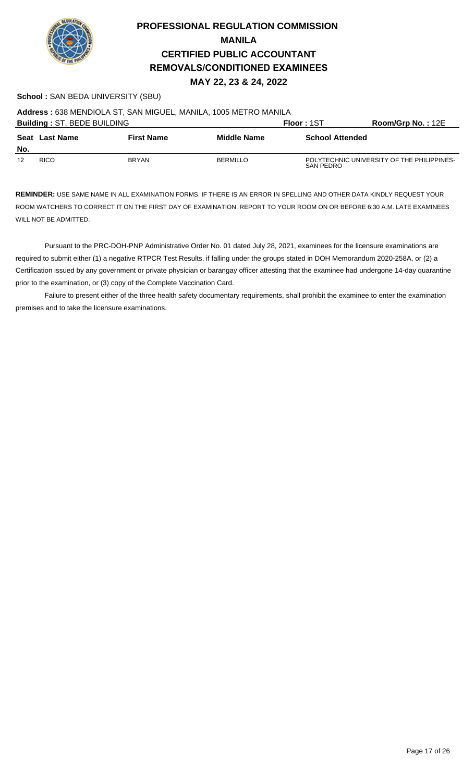

### **School :** SAN BEDA UNIVERSITY (SBU)

**Address :** 638 MENDIOLA ST, SAN MIGUEL, MANILA, 1005 METRO MANILA

| <b>Building: ST. BEDE BUILDING</b> |                |                   |                 | Floor: 1ST             | $Room/Grp$ No.: 12E                        |
|------------------------------------|----------------|-------------------|-----------------|------------------------|--------------------------------------------|
| No.                                | Seat Last Name | <b>First Name</b> | Middle Name     | <b>School Attended</b> |                                            |
| 12                                 | <b>RICO</b>    | <b>BRYAN</b>      | <b>BERMILLO</b> | SAN PEDRO              | POLYTECHNIC UNIVERSITY OF THE PHILIPPINES- |

**REMINDER:** USE SAME NAME IN ALL EXAMINATION FORMS. IF THERE IS AN ERROR IN SPELLING AND OTHER DATA KINDLY REQUEST YOUR ROOM WATCHERS TO CORRECT IT ON THE FIRST DAY OF EXAMINATION. REPORT TO YOUR ROOM ON OR BEFORE 6:30 A.M. LATE EXAMINEES WILL NOT BE ADMITTED.

Pursuant to the PRC-DOH-PNP Administrative Order No. 01 dated July 28, 2021, examinees for the licensure examinations are required to submit either (1) a negative RTPCR Test Results, if falling under the groups stated in DOH Memorandum 2020-258A, or (2) a Certification issued by any government or private physician or barangay officer attesting that the examinee had undergone 14-day quarantine prior to the examination, or (3) copy of the Complete Vaccination Card.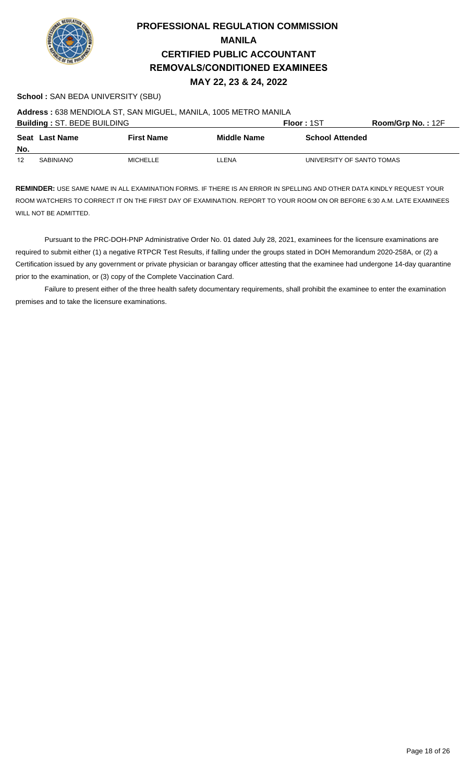

#### **School :** SAN BEDA UNIVERSITY (SBU)

**Address :** 638 MENDIOLA ST, SAN MIGUEL, MANILA, 1005 METRO MANILA

| <b>Building: ST. BEDE BUILDING</b> |                       |                   |                    | Floor: 1ST                | Room/Grp No.: 12F |
|------------------------------------|-----------------------|-------------------|--------------------|---------------------------|-------------------|
|                                    | <b>Seat Last Name</b> | <b>First Name</b> | <b>Middle Name</b> | <b>School Attended</b>    |                   |
| No.                                |                       |                   |                    |                           |                   |
| 12                                 | <b>SABINIANO</b>      | MICHELLE          | LLENA              | UNIVERSITY OF SANTO TOMAS |                   |

**REMINDER:** USE SAME NAME IN ALL EXAMINATION FORMS. IF THERE IS AN ERROR IN SPELLING AND OTHER DATA KINDLY REQUEST YOUR ROOM WATCHERS TO CORRECT IT ON THE FIRST DAY OF EXAMINATION. REPORT TO YOUR ROOM ON OR BEFORE 6:30 A.M. LATE EXAMINEES WILL NOT BE ADMITTED.

Pursuant to the PRC-DOH-PNP Administrative Order No. 01 dated July 28, 2021, examinees for the licensure examinations are required to submit either (1) a negative RTPCR Test Results, if falling under the groups stated in DOH Memorandum 2020-258A, or (2) a Certification issued by any government or private physician or barangay officer attesting that the examinee had undergone 14-day quarantine prior to the examination, or (3) copy of the Complete Vaccination Card.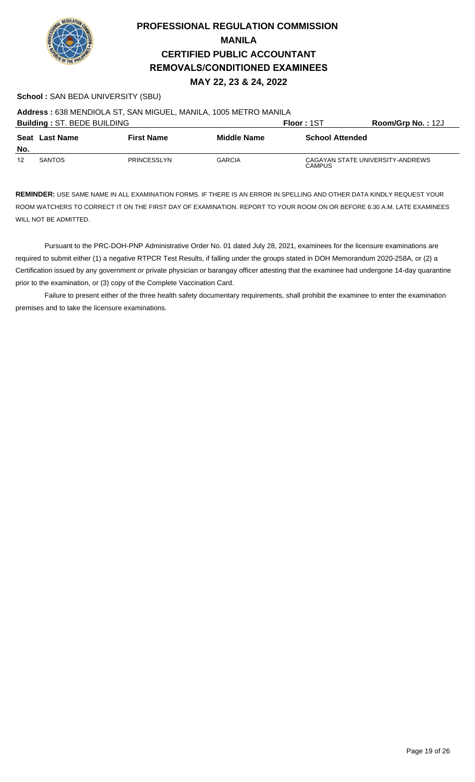

### **School :** SAN BEDA UNIVERSITY (SBU)

**Address :** 638 MENDIOLA ST, SAN MIGUEL, MANILA, 1005 METRO MANILA

| <b>Building: ST. BEDE BUILDING</b> |                |                    |                    | Floor: 1ST                                        | Room/Grp No.: 12J |
|------------------------------------|----------------|--------------------|--------------------|---------------------------------------------------|-------------------|
| No.                                | Seat Last Name | <b>First Name</b>  | <b>Middle Name</b> | <b>School Attended</b>                            |                   |
| 12                                 | <b>SANTOS</b>  | <b>PRINCESSLYN</b> | <b>GARCIA</b>      | CAGAYAN STATE UNIVERSITY-ANDREWS<br><b>CAMPUS</b> |                   |

**REMINDER:** USE SAME NAME IN ALL EXAMINATION FORMS. IF THERE IS AN ERROR IN SPELLING AND OTHER DATA KINDLY REQUEST YOUR ROOM WATCHERS TO CORRECT IT ON THE FIRST DAY OF EXAMINATION. REPORT TO YOUR ROOM ON OR BEFORE 6:30 A.M. LATE EXAMINEES WILL NOT BE ADMITTED.

Pursuant to the PRC-DOH-PNP Administrative Order No. 01 dated July 28, 2021, examinees for the licensure examinations are required to submit either (1) a negative RTPCR Test Results, if falling under the groups stated in DOH Memorandum 2020-258A, or (2) a Certification issued by any government or private physician or barangay officer attesting that the examinee had undergone 14-day quarantine prior to the examination, or (3) copy of the Complete Vaccination Card.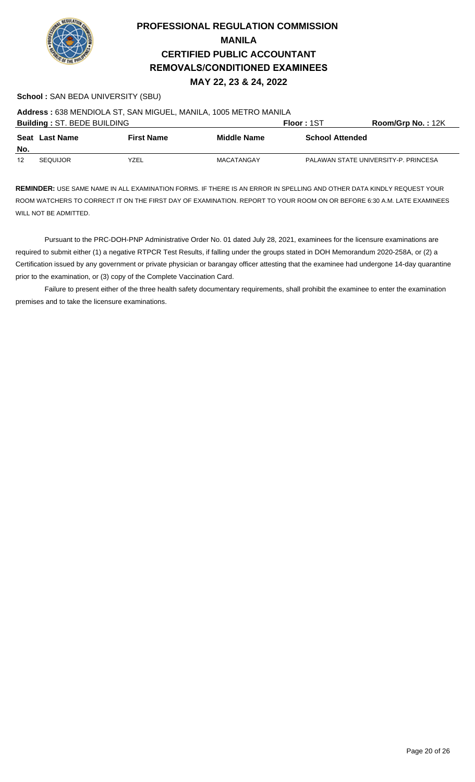

#### **School :** SAN BEDA UNIVERSITY (SBU)

**Address :** 638 MENDIOLA ST, SAN MIGUEL, MANILA, 1005 METRO MANILA

| <b>Building: ST. BEDE BUILDING</b> |                 |                   |                    | Floor: 1ST             | Room/Grp No.: 12K                    |
|------------------------------------|-----------------|-------------------|--------------------|------------------------|--------------------------------------|
| No.                                | Seat Last Name  | <b>First Name</b> | <b>Middle Name</b> | <b>School Attended</b> |                                      |
| 12                                 | <b>SEQUIJOR</b> | YZEL              | MACATANGAY         |                        | PALAWAN STATE UNIVERSITY-P. PRINCESA |

**REMINDER:** USE SAME NAME IN ALL EXAMINATION FORMS. IF THERE IS AN ERROR IN SPELLING AND OTHER DATA KINDLY REQUEST YOUR ROOM WATCHERS TO CORRECT IT ON THE FIRST DAY OF EXAMINATION. REPORT TO YOUR ROOM ON OR BEFORE 6:30 A.M. LATE EXAMINEES WILL NOT BE ADMITTED.

Pursuant to the PRC-DOH-PNP Administrative Order No. 01 dated July 28, 2021, examinees for the licensure examinations are required to submit either (1) a negative RTPCR Test Results, if falling under the groups stated in DOH Memorandum 2020-258A, or (2) a Certification issued by any government or private physician or barangay officer attesting that the examinee had undergone 14-day quarantine prior to the examination, or (3) copy of the Complete Vaccination Card.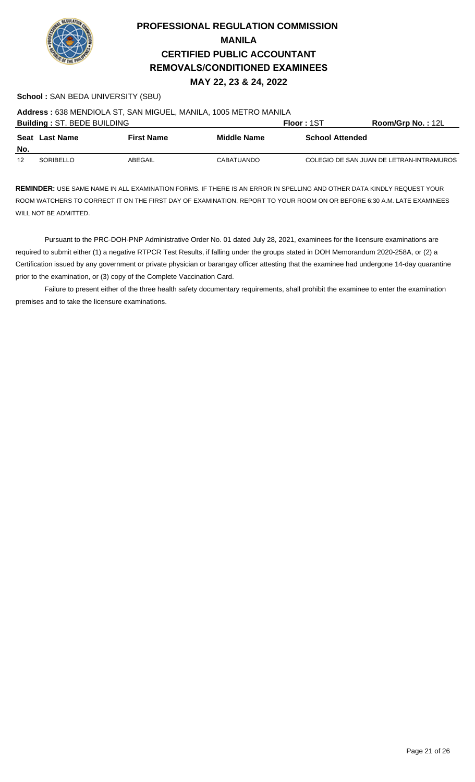

#### **School :** SAN BEDA UNIVERSITY (SBU)

**Address :** 638 MENDIOLA ST, SAN MIGUEL, MANILA, 1005 METRO MANILA

| <b>Building: ST. BEDE BUILDING</b> |                |                   |                   | Floor: 1ST             | <b>Room/Grp No.: 12L</b>                 |
|------------------------------------|----------------|-------------------|-------------------|------------------------|------------------------------------------|
| No.                                | Seat Last Name | <b>First Name</b> | Middle Name       | <b>School Attended</b> |                                          |
| 12                                 | SORIBELLO      | ABEGAIL           | <b>CABATUANDO</b> |                        | COLEGIO DE SAN JUAN DE LETRAN-INTRAMUROS |

**REMINDER:** USE SAME NAME IN ALL EXAMINATION FORMS. IF THERE IS AN ERROR IN SPELLING AND OTHER DATA KINDLY REQUEST YOUR ROOM WATCHERS TO CORRECT IT ON THE FIRST DAY OF EXAMINATION. REPORT TO YOUR ROOM ON OR BEFORE 6:30 A.M. LATE EXAMINEES WILL NOT BE ADMITTED.

Pursuant to the PRC-DOH-PNP Administrative Order No. 01 dated July 28, 2021, examinees for the licensure examinations are required to submit either (1) a negative RTPCR Test Results, if falling under the groups stated in DOH Memorandum 2020-258A, or (2) a Certification issued by any government or private physician or barangay officer attesting that the examinee had undergone 14-day quarantine prior to the examination, or (3) copy of the Complete Vaccination Card.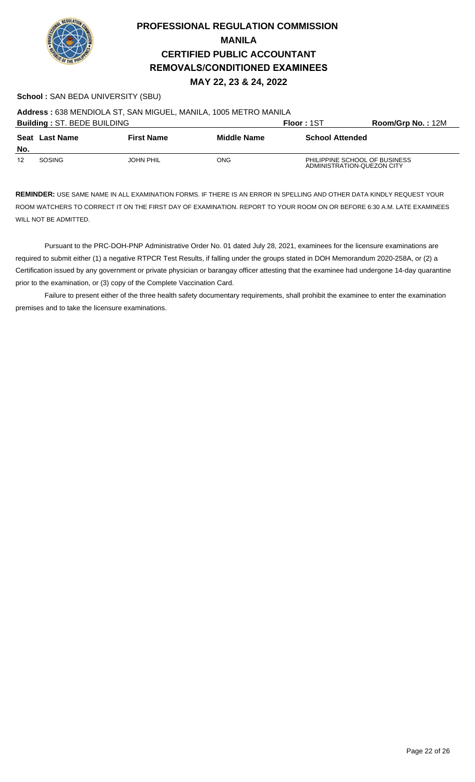

### **School :** SAN BEDA UNIVERSITY (SBU)

**Address :** 638 MENDIOLA ST, SAN MIGUEL, MANILA, 1005 METRO MANILA

| <b>Building: ST. BEDE BUILDING</b> |                |                   |             | Floor: 1ST                                                  | <b>Room/Grp No.: 12M</b> |
|------------------------------------|----------------|-------------------|-------------|-------------------------------------------------------------|--------------------------|
| No.                                | Seat Last Name | <b>First Name</b> | Middle Name | <b>School Attended</b>                                      |                          |
| 12                                 | SOSING         | <b>JOHN PHIL</b>  | ONG         | PHILIPPINE SCHOOL OF BUSINESS<br>ADMINISTRATION-QUEZON CITY |                          |

**REMINDER:** USE SAME NAME IN ALL EXAMINATION FORMS. IF THERE IS AN ERROR IN SPELLING AND OTHER DATA KINDLY REQUEST YOUR ROOM WATCHERS TO CORRECT IT ON THE FIRST DAY OF EXAMINATION. REPORT TO YOUR ROOM ON OR BEFORE 6:30 A.M. LATE EXAMINEES WILL NOT BE ADMITTED.

Pursuant to the PRC-DOH-PNP Administrative Order No. 01 dated July 28, 2021, examinees for the licensure examinations are required to submit either (1) a negative RTPCR Test Results, if falling under the groups stated in DOH Memorandum 2020-258A, or (2) a Certification issued by any government or private physician or barangay officer attesting that the examinee had undergone 14-day quarantine prior to the examination, or (3) copy of the Complete Vaccination Card.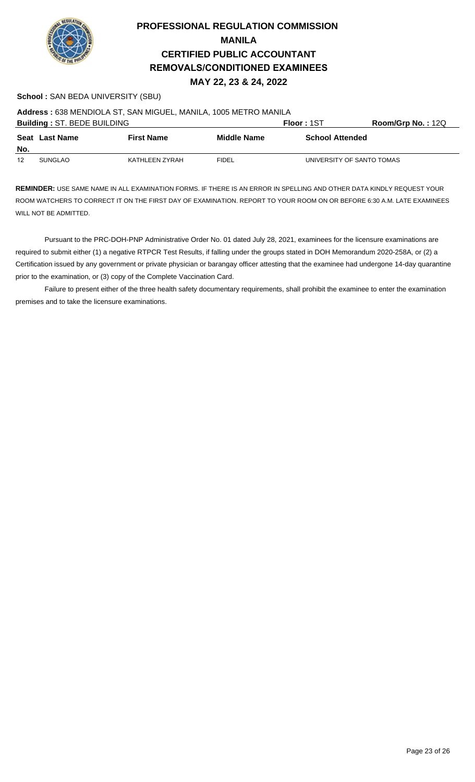

#### **School :** SAN BEDA UNIVERSITY (SBU)

**Address :** 638 MENDIOLA ST, SAN MIGUEL, MANILA, 1005 METRO MANILA

| <b>Building: ST. BEDE BUILDING</b> |                |                   |                    | Floor: 1ST                | Room/Grp No.: $12Q$ |
|------------------------------------|----------------|-------------------|--------------------|---------------------------|---------------------|
| No.                                | Seat Last Name | <b>First Name</b> | <b>Middle Name</b> | <b>School Attended</b>    |                     |
| 12                                 | <b>SUNGLAO</b> | KATHLEEN ZYRAH    | <b>FIDEL</b>       | UNIVERSITY OF SANTO TOMAS |                     |

**REMINDER:** USE SAME NAME IN ALL EXAMINATION FORMS. IF THERE IS AN ERROR IN SPELLING AND OTHER DATA KINDLY REQUEST YOUR ROOM WATCHERS TO CORRECT IT ON THE FIRST DAY OF EXAMINATION. REPORT TO YOUR ROOM ON OR BEFORE 6:30 A.M. LATE EXAMINEES WILL NOT BE ADMITTED.

Pursuant to the PRC-DOH-PNP Administrative Order No. 01 dated July 28, 2021, examinees for the licensure examinations are required to submit either (1) a negative RTPCR Test Results, if falling under the groups stated in DOH Memorandum 2020-258A, or (2) a Certification issued by any government or private physician or barangay officer attesting that the examinee had undergone 14-day quarantine prior to the examination, or (3) copy of the Complete Vaccination Card.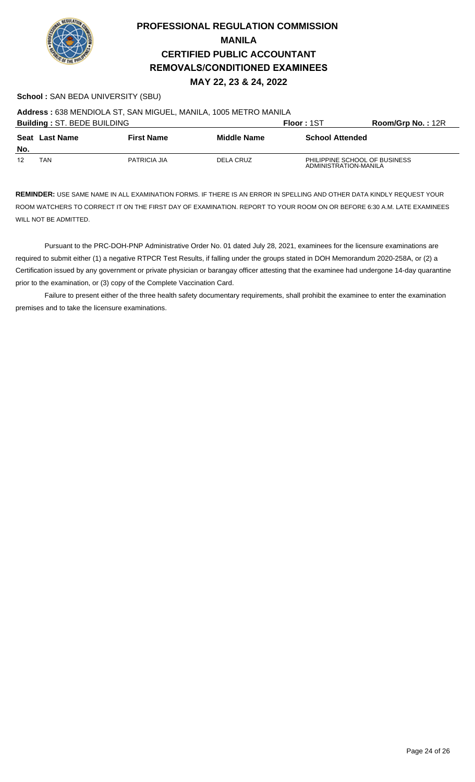

### **School :** SAN BEDA UNIVERSITY (SBU)

**Address :** 638 MENDIOLA ST, SAN MIGUEL, MANILA, 1005 METRO MANILA

| <b>Building: ST. BEDE BUILDING</b> |                |                   |             | Floor: 1ST                                             | Room/Grp No.: 12R |
|------------------------------------|----------------|-------------------|-------------|--------------------------------------------------------|-------------------|
| No.                                | Seat Last Name | <b>First Name</b> | Middle Name | <b>School Attended</b>                                 |                   |
| 12                                 | TAN            | PATRICIA JIA      | DELA CRUZ   | PHILIPPINE SCHOOL OF BUSINESS<br>ADMINISTRATION-MANILA |                   |

**REMINDER:** USE SAME NAME IN ALL EXAMINATION FORMS. IF THERE IS AN ERROR IN SPELLING AND OTHER DATA KINDLY REQUEST YOUR ROOM WATCHERS TO CORRECT IT ON THE FIRST DAY OF EXAMINATION. REPORT TO YOUR ROOM ON OR BEFORE 6:30 A.M. LATE EXAMINEES WILL NOT BE ADMITTED.

Pursuant to the PRC-DOH-PNP Administrative Order No. 01 dated July 28, 2021, examinees for the licensure examinations are required to submit either (1) a negative RTPCR Test Results, if falling under the groups stated in DOH Memorandum 2020-258A, or (2) a Certification issued by any government or private physician or barangay officer attesting that the examinee had undergone 14-day quarantine prior to the examination, or (3) copy of the Complete Vaccination Card.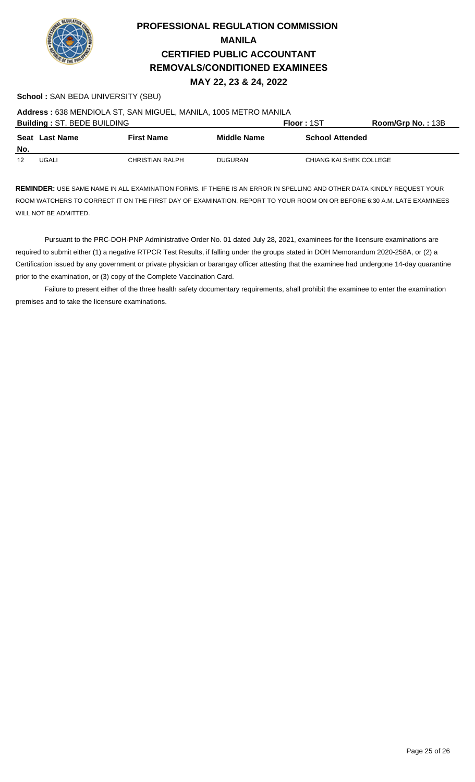

### **School :** SAN BEDA UNIVERSITY (SBU)

**Address :** 638 MENDIOLA ST, SAN MIGUEL, MANILA, 1005 METRO MANILA

|     | <b>Building: ST. BEDE BUILDING</b> |                   |                    | <b>Floor: 1ST</b>       | Room/Grp No.: 13B |
|-----|------------------------------------|-------------------|--------------------|-------------------------|-------------------|
| No. | <b>Seat Last Name</b>              | <b>First Name</b> | <b>Middle Name</b> | <b>School Attended</b>  |                   |
| 12  | UGALI                              | CHRISTIAN RALPH   | DUGURAN            | CHIANG KAI SHEK COLLEGE |                   |

**REMINDER:** USE SAME NAME IN ALL EXAMINATION FORMS. IF THERE IS AN ERROR IN SPELLING AND OTHER DATA KINDLY REQUEST YOUR ROOM WATCHERS TO CORRECT IT ON THE FIRST DAY OF EXAMINATION. REPORT TO YOUR ROOM ON OR BEFORE 6:30 A.M. LATE EXAMINEES WILL NOT BE ADMITTED.

Pursuant to the PRC-DOH-PNP Administrative Order No. 01 dated July 28, 2021, examinees for the licensure examinations are required to submit either (1) a negative RTPCR Test Results, if falling under the groups stated in DOH Memorandum 2020-258A, or (2) a Certification issued by any government or private physician or barangay officer attesting that the examinee had undergone 14-day quarantine prior to the examination, or (3) copy of the Complete Vaccination Card.